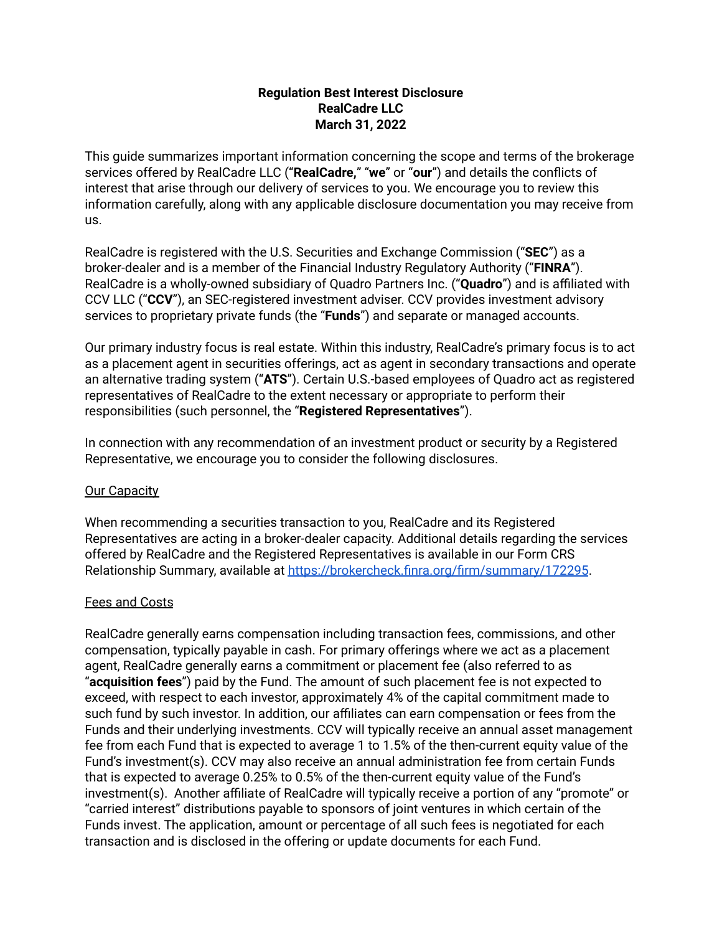## **Regulation Best Interest Disclosure RealCadre LLC March 31, 2022**

This guide summarizes important information concerning the scope and terms of the brokerage services offered by RealCadre LLC ("**RealCadre,**" "**we**" or "**our**") and details the conflicts of interest that arise through our delivery of services to you. We encourage you to review this information carefully, along with any applicable disclosure documentation you may receive from us.

RealCadre is registered with the U.S. Securities and Exchange Commission ("**SEC**") as a broker-dealer and is a member of the Financial Industry Regulatory Authority ("**FINRA**"). RealCadre is a wholly-owned subsidiary of Quadro Partners Inc. ("**Quadro**") and is affiliated with CCV LLC ("**CCV**"), an SEC-registered investment adviser. CCV provides investment advisory services to proprietary private funds (the "**Funds**") and separate or managed accounts.

Our primary industry focus is real estate. Within this industry, RealCadre's primary focus is to act as a placement agent in securities offerings, act as agent in secondary transactions and operate an alternative trading system ("**ATS**"). Certain U.S.-based employees of Quadro act as registered representatives of RealCadre to the extent necessary or appropriate to perform their responsibilities (such personnel, the "**Registered Representatives**").

In connection with any recommendation of an investment product or security by a Registered Representative, we encourage you to consider the following disclosures.

## Our Capacity

When recommending a securities transaction to you, RealCadre and its Registered Representatives are acting in a broker-dealer capacity. Additional details regarding the services offered by RealCadre and the Registered Representatives is available in our Form CRS Relationship Summary, available at <https://brokercheck.finra.org/firm/summary/172295>.

## Fees and Costs

RealCadre generally earns compensation including transaction fees, commissions, and other compensation, typically payable in cash. For primary offerings where we act as a placement agent, RealCadre generally earns a commitment or placement fee (also referred to as "**acquisition fees**") paid by the Fund. The amount of such placement fee is not expected to exceed, with respect to each investor, approximately 4% of the capital commitment made to such fund by such investor. In addition, our affiliates can earn compensation or fees from the Funds and their underlying investments. CCV will typically receive an annual asset management fee from each Fund that is expected to average 1 to 1.5% of the then-current equity value of the Fund's investment(s). CCV may also receive an annual administration fee from certain Funds that is expected to average 0.25% to 0.5% of the then-current equity value of the Fund's investment(s). Another affiliate of RealCadre will typically receive a portion of any "promote" or "carried interest" distributions payable to sponsors of joint ventures in which certain of the Funds invest. The application, amount or percentage of all such fees is negotiated for each transaction and is disclosed in the offering or update documents for each Fund.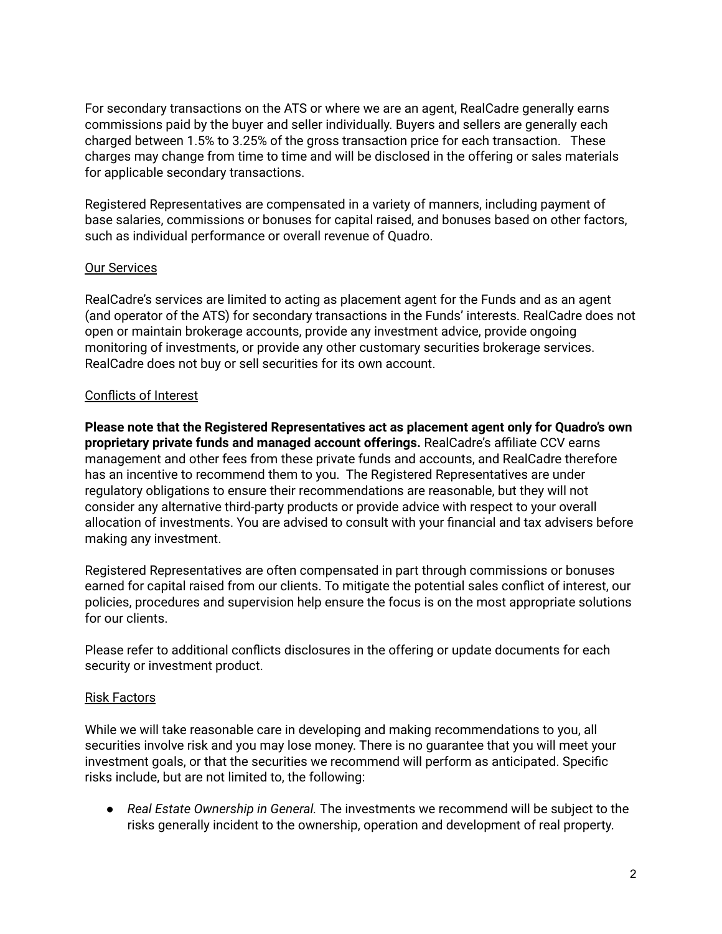For secondary transactions on the ATS or where we are an agent, RealCadre generally earns commissions paid by the buyer and seller individually. Buyers and sellers are generally each charged between 1.5% to 3.25% of the gross transaction price for each transaction. These charges may change from time to time and will be disclosed in the offering or sales materials for applicable secondary transactions.

Registered Representatives are compensated in a variety of manners, including payment of base salaries, commissions or bonuses for capital raised, and bonuses based on other factors, such as individual performance or overall revenue of Quadro.

## Our Services

RealCadre's services are limited to acting as placement agent for the Funds and as an agent (and operator of the ATS) for secondary transactions in the Funds' interests. RealCadre does not open or maintain brokerage accounts, provide any investment advice, provide ongoing monitoring of investments, or provide any other customary securities brokerage services. RealCadre does not buy or sell securities for its own account.

# Conflicts of Interest

**Please note that the Registered Representatives act as placement agent only for Quadro's own proprietary private funds and managed account offerings.** RealCadre's affiliate CCV earns management and other fees from these private funds and accounts, and RealCadre therefore has an incentive to recommend them to you. The Registered Representatives are under regulatory obligations to ensure their recommendations are reasonable, but they will not consider any alternative third-party products or provide advice with respect to your overall allocation of investments. You are advised to consult with your financial and tax advisers before making any investment.

Registered Representatives are often compensated in part through commissions or bonuses earned for capital raised from our clients. To mitigate the potential sales conflict of interest, our policies, procedures and supervision help ensure the focus is on the most appropriate solutions for our clients.

Please refer to additional conflicts disclosures in the offering or update documents for each security or investment product.

## Risk Factors

While we will take reasonable care in developing and making recommendations to you, all securities involve risk and you may lose money. There is no guarantee that you will meet your investment goals, or that the securities we recommend will perform as anticipated. Specific risks include, but are not limited to, the following:

● *Real Estate Ownership in General.* The investments we recommend will be subject to the risks generally incident to the ownership, operation and development of real property.